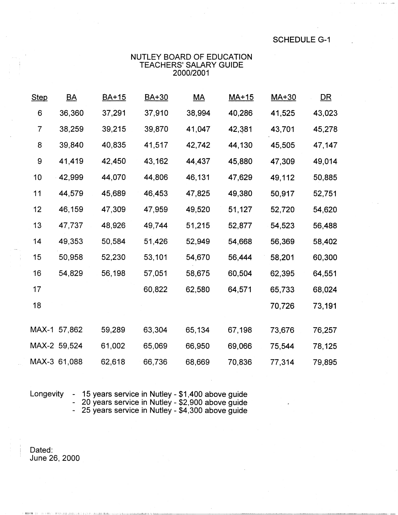**SCHEDULE G-1** 

## NUTLEY BOARD OF EDUCATION TEACHERS' SALARY GUIDE<br>2000/2001

| <b>Step</b>    | $\underline{BA}$ | BA+15  | BA+30  | $\underline{MA}$ | $MA+15$ | $MA+30$ | <u>DR</u> |
|----------------|------------------|--------|--------|------------------|---------|---------|-----------|
| 6              | 36,360           | 37,291 | 37,910 | 38,994           | 40,286  | 41,525  | 43,023    |
| $\overline{7}$ | 38,259           | 39,215 | 39,870 | 41,047           | 42,381  | 43,701  | 45,278    |
| 8              | 39,840           | 40,835 | 41,517 | 42,742           | 44,130  | 45,505  | 47,147    |
| 9              | 41,419           | 42,450 | 43,162 | 44,437           | 45,880  | 47,309  | 49,014    |
| 10             | 42,999           | 44,070 | 44,806 | 46,131           | 47,629  | 49,112  | 50,885    |
| 11             | 44,579           | 45,689 | 46,453 | 47,825           | 49,380  | 50,917  | 52,751    |
| 12             | 46,159           | 47,309 | 47,959 | 49,520           | 51,127  | 52,720  | 54,620    |
| 13             | 47,737           | 48,926 | 49,744 | 51,215           | 52,877  | 54,523  | 56,488    |
| 14             | 49,353           | 50,584 | 51,426 | 52,949           | 54,668  | 56,369  | 58,402    |
| 15             | 50,958           | 52,230 | 53,101 | 54,670           | 56,444  | 58,201  | 60,300    |
| 16             | 54,829           | 56,198 | 57,051 | 58,675           | 60,504  | 62,395  | 64,551    |
| 17             |                  |        | 60,822 | 62,580           | 64,571  | 65,733  | 68,024    |
| 18             |                  |        |        |                  |         | 70,726  | 73,191    |
|                | MAX-1 57,862     | 59,289 | 63,304 | 65,134           | 67,198  | 73,676  | 76,257    |
|                | MAX-2 59,524     | 61,002 | 65,069 | 66,950           | 69,066  | 75,544  | 78,125    |
|                | MAX-3 61,088     | 62,618 | 66,736 | 68,669           | 70,836  | 77,314  | 79,895    |
|                |                  |        |        |                  |         |         |           |

Longevity

- 15 years service in Nutley - \$1,400 above guide<br>- 20 years service in Nutley - \$2,900 above guide<br>- 25 years service in Nutley - \$4,300 above guide

Dated: June 26, 2000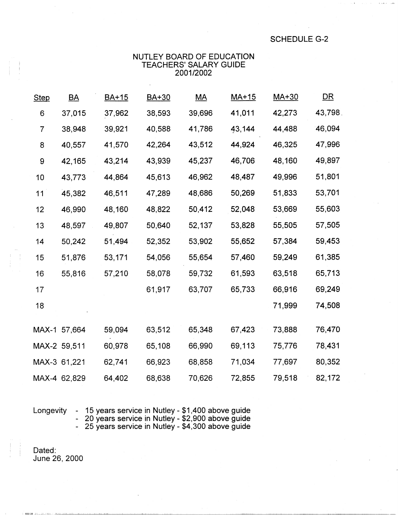SCHEDULE G-2

## NUTLEY BOARD OF EDUCATION TEACHERS' SALARY GUIDE 2001/2002

| <b>Step</b>    | $\underline{BA}$ | <b>BA+15</b> | BA+30  | $\underline{MA}$ | $MA+15$ | MA+30  | <u>DR</u> |
|----------------|------------------|--------------|--------|------------------|---------|--------|-----------|
| 6              | 37,015           | 37,962       | 38,593 | 39,696           | 41,011  | 42,273 | 43,798.   |
| $\overline{7}$ | 38,948           | 39,921       | 40,588 | 41,786           | 43,144  | 44,488 | 46,094    |
| 8              | 40,557           | 41,570       | 42,264 | 43,512           | 44,924  | 46,325 | 47,996    |
| 9              | 42,165           | 43,214       | 43,939 | 45,237           | 46,706  | 48,160 | 49,897    |
| 10             | 43,773           | 44,864       | 45,613 | 46,962           | 48,487  | 49,996 | 51,801    |
| 11             | 45,382           | 46,511       | 47,289 | 48,686           | 50,269  | 51,833 | 53,701    |
| 12             | 46,990           | 48,160       | 48,822 | 50,412           | 52,048  | 53,669 | 55,603    |
| 13             | 48,597           | 49,807       | 50,640 | 52,137           | 53,828  | 55,505 | 57,505    |
| 14             | 50,242           | 51,494       | 52,352 | 53,902           | 55,652  | 57,384 | 59,453    |
| 15             | 51,876           | 53,171       | 54,056 | 55,654           | 57,460  | 59,249 | 61,385    |
| 16             | 55,816           | 57,210       | 58,078 | 59,732           | 61,593  | 63,518 | 65,713    |
| 17             |                  |              | 61,917 | 63,707           | 65,733  | 66,916 | 69,249    |
| 18             |                  |              |        |                  |         | 71,999 | 74,508    |
|                | MAX-1 57,664     | 59,094       | 63,512 | 65,348           | 67,423  | 73,888 | 76,470    |
|                | MAX-2 59,511     | 60,978       | 65,108 | 66,990           | 69,113  | 75,776 | 78,431    |
|                | MAX-3 61,221     | 62,741       | 66,923 | 68,858           | 71,034  | 77,697 | 80,352    |
|                | MAX-4 62,829     | 64,402       | 68,638 | 70,626           | 72,855  | 79,518 | 82,172    |

Longevity - 15 years service in Nutley - \$1,400 above guide - 20 years service in Nutley - \$2,900 above guide - 25 years service in Nutley - \$4,300 above guide

Dated: June 26, 2000